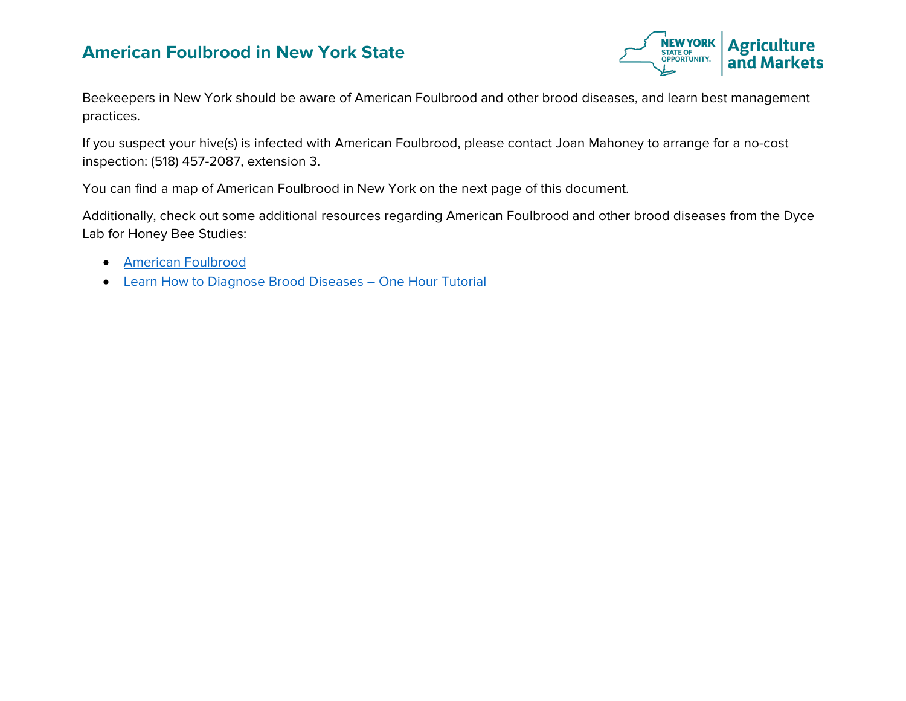## **American Foulbrood in New York State**



Beekeepers in New York should be aware of American Foulbrood and other brood diseases, and learn best management practices.

If you suspect your hive(s) is infected with American Foulbrood, please contact Joan Mahoney to arrange for a no-cost inspection: (518) 457-2087, extension 3.

You can find a map of American Foulbrood in New York on the next page of this document.

Additionally, check out some additional resources regarding American Foulbrood and other brood diseases from the Dyce Lab for Honey Bee Studies:

- [American Foulbrood](https://www.youtube.com/watch?v=caliX8JZJ2s)
- [Learn How to Diagnose Brood Diseases –](https://youtu.be/MAnFr0htfOk?t=1) One Hour Tutorial